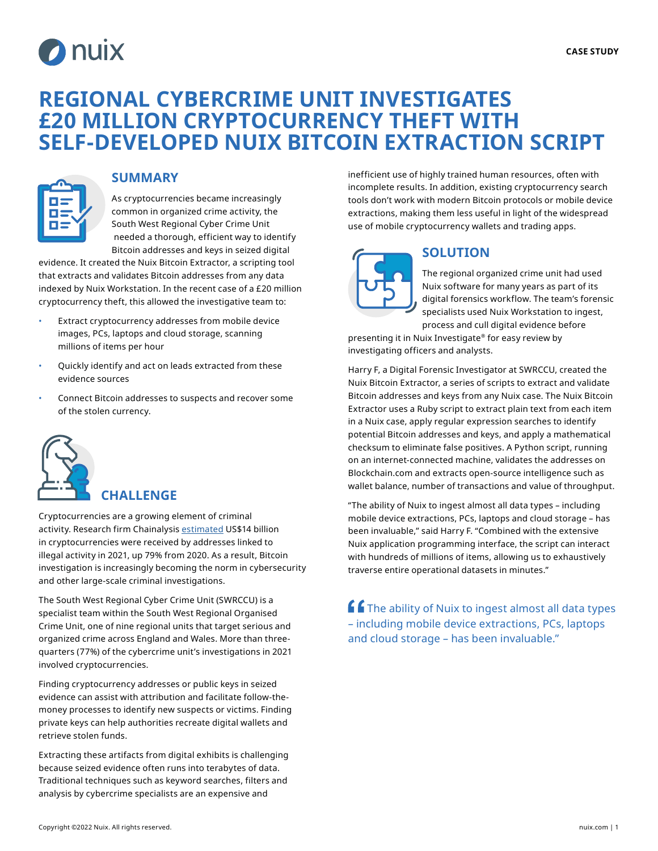

# **REGIONAL CYBERCRIME UNIT INVESTIGATES £20 MILLION CRYPTOCURRENCY THEFT WITH SELF-DEVELOPED NUIX BITCOIN EXTRACTION SCRIPT**



#### **SUMMARY**

As cryptocurrencies became increasingly common in organized crime activity, the South West Regional Cyber Crime Unit needed a thorough, efficient way to identify Bitcoin addresses and keys in seized digital

evidence. It created the Nuix Bitcoin Extractor, a scripting tool that extracts and validates Bitcoin addresses from any data indexed by Nuix Workstation. In the recent case of a £20 million cryptocurrency theft, this allowed the investigative team to:

- Extract cryptocurrency addresses from mobile device images, PCs, laptops and cloud storage, scanning millions of items per hour
- Quickly identify and act on leads extracted from these evidence sources
- Connect Bitcoin addresses to suspects and recover some of the stolen currency.



#### **CHALLENGE**

Cryptocurrencies are a growing element of criminal activity. Research firm Chainalysis [estimated](https://go.chainalysis.com/2022-crypto-crime-report.html) US\$14 billion in cryptocurrencies were received by addresses linked to illegal activity in 2021, up 79% from 2020. As a result, Bitcoin investigation is increasingly becoming the norm in cybersecurity and other large-scale criminal investigations.

The South West Regional Cyber Crime Unit (SWRCCU) is a specialist team within the South West Regional Organised Crime Unit, one of nine regional units that target serious and organized crime across England and Wales. More than threequarters (77%) of the cybercrime unit's investigations in 2021 involved cryptocurrencies.

Finding cryptocurrency addresses or public keys in seized evidence can assist with attribution and facilitate follow-themoney processes to identify new suspects or victims. Finding private keys can help authorities recreate digital wallets and retrieve stolen funds.

Extracting these artifacts from digital exhibits is challenging because seized evidence often runs into terabytes of data. Traditional techniques such as keyword searches, filters and analysis by cybercrime specialists are an expensive and

inefficient use of highly trained human resources, often with incomplete results. In addition, existing cryptocurrency search tools don't work with modern Bitcoin protocols or mobile device extractions, making them less useful in light of the widespread use of mobile cryptocurrency wallets and trading apps.



## **SOLUTION**

The regional organized crime unit had used Nuix software for many years as part of its digital forensics workflow. The team's forensic specialists used Nuix Workstation to ingest, process and cull digital evidence before

presenting it in Nuix Investigate® for easy review by investigating officers and analysts.

Harry F, a Digital Forensic Investigator at SWRCCU, created the Nuix Bitcoin Extractor, a series of scripts to extract and validate Bitcoin addresses and keys from any Nuix case. The Nuix Bitcoin Extractor uses a Ruby script to extract plain text from each item in a Nuix case, apply regular expression searches to identify potential Bitcoin addresses and keys, and apply a mathematical checksum to eliminate false positives. A Python script, running on an internet-connected machine, validates the addresses on Blockchain.com and extracts open-source intelligence such as wallet balance, number of transactions and value of throughput.

"The ability of Nuix to ingest almost all data types – including mobile device extractions, PCs, laptops and cloud storage – has been invaluable," said Harry F. "Combined with the extensive Nuix application programming interface, the script can interact with hundreds of millions of items, allowing us to exhaustively traverse entire operational datasets in minutes."

 $f$  The ability of Nuix to ingest almost all data types – including mobile device extractions, PCs, laptops and cloud storage – has been invaluable."